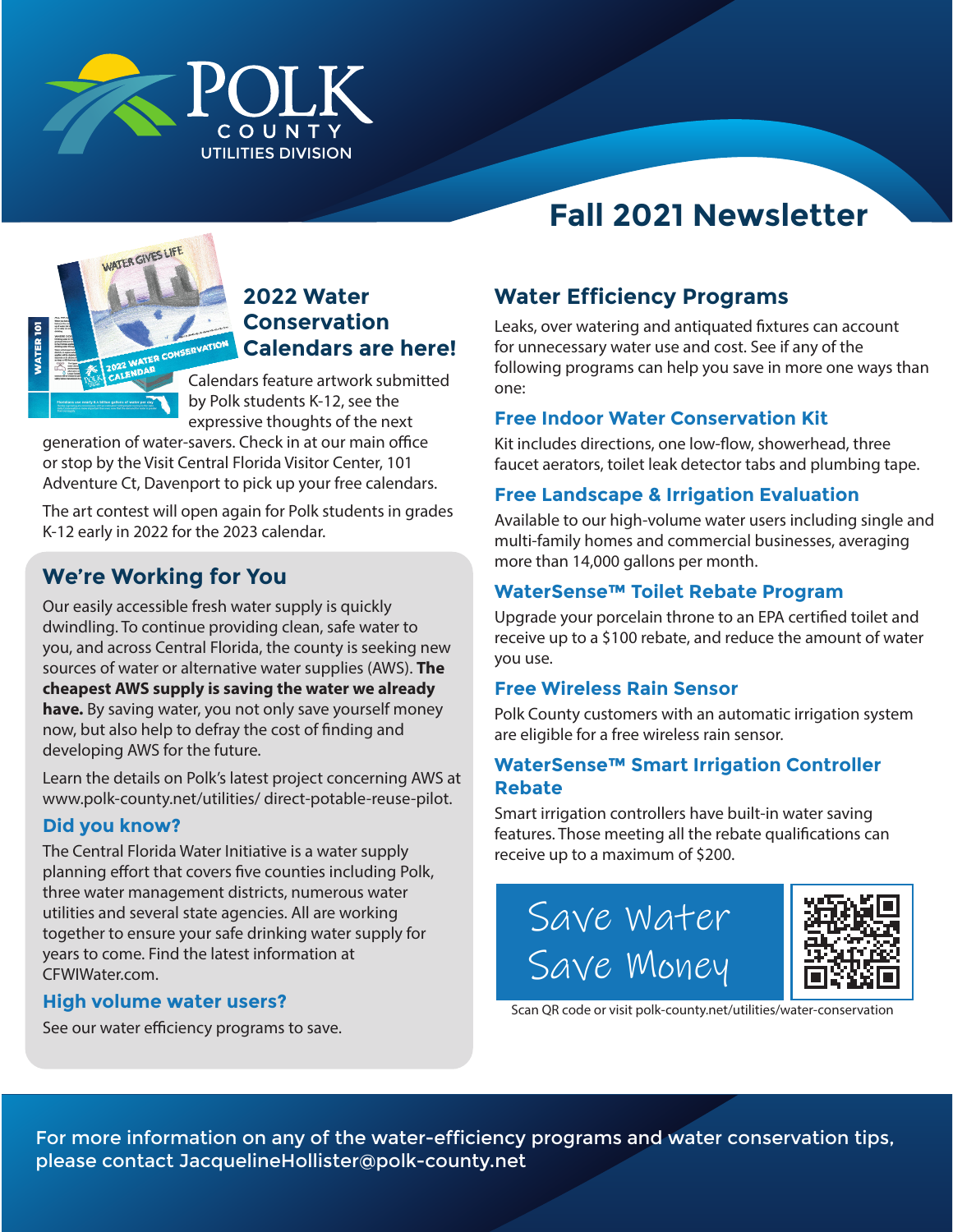

# **Fall 2021 Newsletter**



# **2022 Water Conservation Calendars are here!**

Calendars feature artwork submitted by Polk students K-12, see the expressive thoughts of the next

generation of water-savers. Check in at our main office or stop by the Visit Central Florida Visitor Center, 101 Adventure Ct, Davenport to pick up your free calendars.

The art contest will open again for Polk students in grades K-12 early in 2022 for the 2023 calendar.

# **We're Working for You**

Our easily accessible fresh water supply is quickly dwindling. To continue providing clean, safe water to you, and across Central Florida, the county is seeking new sources of water or alternative water supplies (AWS). **The cheapest AWS supply is saving the water we already have.** By saving water, you not only save yourself money now, but also help to defray the cost of finding and developing AWS for the future.

Learn the details on Polk's latest project concerning AWS at [www.polk-county.net/utilities/ direct-potable-reuse-pilot.](https://www.polk-county.net/utilities/direct-potable-reuse-pilot)

#### **Did you know?**

The Central Florida Water Initiative is a water supply planning effort that covers five counties including Polk, three water management districts, numerous water utilities and several state agencies. All are working together to ensure your safe drinking water supply for years to come. Find the latest information at [CFWIWater.com.](https://cfwiwater.com/)

#### **High volume water users?**

See our water efficiency programs to save.

# **Water Efficiency Programs**

Leaks, over watering and antiquated fixtures can account for unnecessary water use and cost. See if any of the following programs can help you save in more one ways than one:

#### **Free Indoor Water Conservation Kit**

Kit includes directions, one low-flow, showerhead, three faucet aerators, toilet leak detector tabs and plumbing tape.

#### **Free Landscape & Irrigation Evaluation**

Available to our high-volume water users including single and multi-family homes and commercial businesses, averaging more than 14,000 gallons per month.

#### **WaterSense™ Toilet Rebate Program**

Upgrade your porcelain throne to an EPA certified toilet and receive up to a \$100 rebate, and reduce the amount of water you use.

#### **Free Wireless Rain Sensor**

Polk County customers with an automatic irrigation system are eligible for a free wireless rain sensor.

#### **WaterSense™ Smart Irrigation Controller Rebate**

Smart irrigation controllers have built-in water saving features. Those meeting all the rebate qualifications can receive up to a maximum of \$200.





Scan QR code or visit [polk-county.net/utilities/water-conservation](https://www.polk-county.net/utilities/water-conservation)

For more information on any of the water-efficiency programs and water conservation tips, please contact JacquelineHollister@polk-county.net